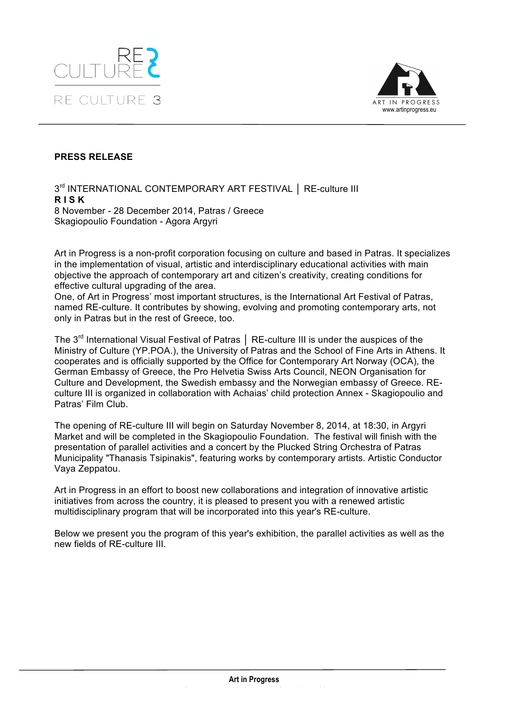



### **PRESS RELEASE**

3rd INTERNATIONAL CONTEMPORARY ART FESTIVAL │ RE-culture III **R I S K** 8 November - 28 December 2014, Patras / Greece Skagiopoulio Foundation - Agora Argyri

Art in Progress is a non-profit corporation focusing on culture and based in Patras. It specializes in the implementation of visual, artistic and interdisciplinary educational activities with main objective the approach of contemporary art and citizen's creativity, creating conditions for effective cultural upgrading of the area.

One, of Art in Progress' most important structures, is the International Art Festival of Patras, named RE-culture. It contributes by showing, evolving and promoting contemporary arts, not only in Patras but in the rest of Greece, too.

The 3<sup>rd</sup> International Visual Festival of Patras | RE-culture III is under the auspices of the Ministry of Culture (YP.POA.), the University of Patras and the School of Fine Arts in Athens. It cooperates and is officially supported by the Office for Contemporary Art Norway (OCA), the German Embassy of Greece, the Pro Helvetia Swiss Arts Council, ΝΕΟΝ Organisation for Culture and Development, the Swedish embassy and the Norwegian embassy of Greece. REculture III is organized in collaboration with Achaias' child protection Annex - Skagiopoulio and Patras' Film Club.

The opening of RE-culture III will begin on Saturday November 8, 2014, at 18:30, in Argyri Market and will be completed in the Skagiopoulio Foundation. The festival will finish with the presentation of parallel activities and a concert by the Plucked String Orchestra of Patras Municipality "Thanasis Tsipinakis", featuring works by contemporary artists. Artistic Conductor Vaya Zeppatou.

Art in Progress in an effort to boost new collaborations and integration of innovative artistic initiatives from across the country, it is pleased to present you with a renewed artistic multidisciplinary program that will be incorporated into this year's RE-culture.

Below we present you the program of this year's exhibition, the parallel activities as well as the new fields of RE-culture III.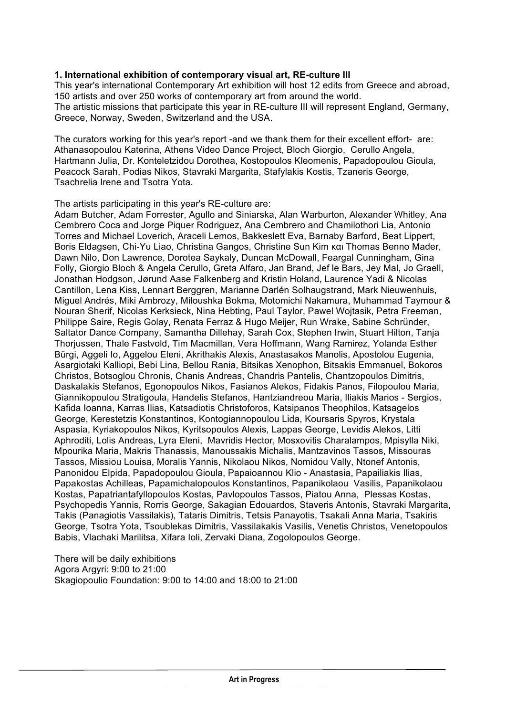### **1. International exhibition of contemporary visual art, RE-culture III**

This year's international Contemporary Art exhibition will host 12 edits from Greece and abroad, 150 artists and over 250 works of contemporary art from around the world. The artistic missions that participate this year in RE-culture III will represent England, Germany, Greece, Norway, Sweden, Switzerland and the USA.

The curators working for this year's report -and we thank them for their excellent effort- are: Athanasopoulou Katerina, Athens Video Dance Project, Bloch Giorgio, Cerullo Angela, Hartmann Julia, Dr. Konteletzidou Dorothea, Kostopoulos Kleomenis, Papadopoulou Gioula, Peacock Sarah, Podias Nikos, Stavraki Margarita, Stafylakis Kostis, Tzaneris George, Tsachrelia Irene and Tsotra Yota.

The artists participating in this year's RE-culture are:

Adam Butcher, Adam Forrester, Agullo and Siniarska, Alan Warburton, Alexander Whitley, Ana Cembrero Coca and Jorge Piquer Rodriguez, Ana Cembrero and Chamilothori Lia, Antonio Torres and Michael Loverich, Araceli Lemos, Bakkeslett Eva, Barnaby Barford, Beat Lippert, Boris Eldagsen, Chi-Yu Liao, Christina Gangos, Christine Sun Kim και Thomas Benno Mader, Dawn Nilo, Don Lawrence, Dorotea Saykaly, Duncan McDowall, Feargal Cunningham, Gina Folly, Giorgio Bloch & Angela Cerullo, Greta Alfaro, Jan Brand, Jef le Bars, Jey Mal, Jo Graell, Jonathan Hodgson, Jørund Aase Falkenberg and Kristin Holand, Laurence Yadi & Nicolas Cantillon, Lena Kiss, Lennart Berggren, Marianne Darlén Solhaugstrand, Mark Nieuwenhuis, Miguel Andrés, Miki Ambrozy, Miloushka Bokma, Motomichi Nakamura, Muhammad Taymour & Nouran Sherif, Nicolas Kerksieck, Nina Hebting, Paul Taylor, Pawel Wojtasik, Petra Freeman, Philippe Saire, Regis Golay, Renata Ferraz & Hugo Meijer, Run Wrake, Sabine Schründer, Saltator Dance Company, Samantha Dillehay, Sarah Cox, Stephen Irwin, Stuart Hilton, Tanja Thorjussen, Thale Fastvold, Tim Macmillan, Vera Hoffmann, Wang Ramirez, Yolanda Esther Bürgi, Aggeli Io, Aggelou Eleni, Akrithakis Alexis, Anastasakos Manolis, Apostolou Eugenia, Asargiotaki Kalliopi, Bebi Lina, Bellou Rania, Bitsikas Xenophon, Bitsakis Emmanuel, Bokoros Christos, Botsoglou Chronis, Chanis Andreas, Chandris Pantelis, Chantzopoulos Dimitris, Daskalakis Stefanos, Egonopoulos Nikos, Fasianos Alekos, Fidakis Panos, Filopoulou Maria, Giannikopoulou Stratigoula, Handelis Stefanos, Hantziandreou Maria, Iliakis Marios - Sergios, Kafida Ioanna, Karras Ilias, Katsadiotis Christoforos, Katsipanos Theophilos, Katsagelos George, Kerestetzis Konstantinos, Kontogiannopoulou Lida, Koursaris Spyros, Krystala Aspasia, Kyriakopoulos Nikos, Kyritsopoulos Alexis, Lappas George, Levidis Alekos, Litti Aphroditi, Lolis Andreas, Lyra Eleni, Mavridis Hector, Mosxovitis Charalampos, Mpisylla Niki, Mpourika Maria, Makris Thanassis, Manoussakis Michalis, Mantzavinos Tassos, Missouras Tassos, Missiou Louisa, Moralis Yannis, Nikolaou Nikos, Nomidou Vally, Ntonef Antonis, Panonidou Elpida, Papadopoulou Gioula, Papaioannou Klio - Anastasia, Papailiakis Ilias, Papakostas Achilleas, Papamichalopoulos Konstantinos, Papanikolaou Vasilis, Papanikolaou Kostas, Papatriantafyllopoulos Kostas, Pavlopoulos Tassos, Piatou Anna, Plessas Kostas, Psychopedis Yannis, Rorris George, Sakagian Edouardos, Staveris Antonis, Stavraki Margarita, Takis (Panagiotis Vassilakis), Tataris Dimitris, Tetsis Panayotis, Tsakali Anna Maria, Tsakiris George, Tsotra Yota, Tsoublekas Dimitris, Vassilakakis Vasilis, Venetis Christos, Venetopoulos Babis, Vlachaki Marilitsa, Xifara Ioli, Zervaki Diana, Zogolopoulos George.

There will be daily exhibitions Agora Argyri: 9:00 to 21:00 Skagiopoulio Foundation: 9:00 to 14:00 and 18:00 to 21:00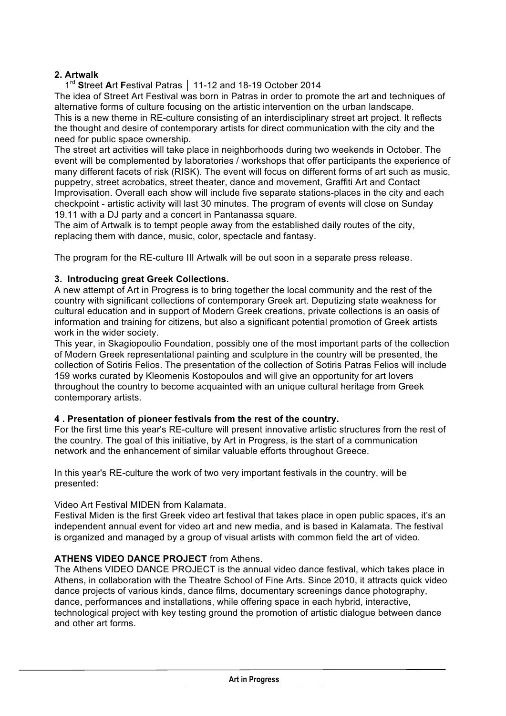# **2. Artwalk**

 1rd **S**treet **A**rt **F**estival Patras │ 11-12 and 18-19 October 2014 The idea of Street Art Festival was born in Patras in order to promote the art and techniques of alternative forms of culture focusing on the artistic intervention on the urban landscape. This is a new theme in RE-culture consisting of an interdisciplinary street art project. It reflects the thought and desire of contemporary artists for direct communication with the city and the

need for public space ownership.

The street art activities will take place in neighborhoods during two weekends in October. The event will be complemented by laboratories / workshops that offer participants the experience of many different facets of risk (RISK). The event will focus on different forms of art such as music, puppetry, street acrobatics, street theater, dance and movement, Graffiti Art and Contact Improvisation. Overall each show will include five separate stations-places in the city and each checkpoint - artistic activity will last 30 minutes. The program of events will close on Sunday 19.11 with a DJ party and a concert in Pantanassa square.

The aim of Artwalk is to tempt people away from the established daily routes of the city, replacing them with dance, music, color, spectacle and fantasy.

The program for the RE-culture III Artwalk will be out soon in a separate press release.

### **3. Introducing great Greek Collections.**

A new attempt of Art in Progress is to bring together the local community and the rest of the country with significant collections of contemporary Greek art. Deputizing state weakness for cultural education and in support of Modern Greek creations, private collections is an oasis of information and training for citizens, but also a significant potential promotion of Greek artists work in the wider society.

This year, in Skagiopoulio Foundation, possibly one of the most important parts of the collection of Modern Greek representational painting and sculpture in the country will be presented, the collection of Sotiris Felios. The presentation of the collection of Sotiris Patras Felios will include 159 works curated by Kleomenis Kostopoulos and will give an opportunity for art lovers throughout the country to become acquainted with an unique cultural heritage from Greek contemporary artists.

### **4 . Presentation of pioneer festivals from the rest of the country.**

For the first time this year's RE-culture will present innovative artistic structures from the rest of the country. The goal of this initiative, by Art in Progress, is the start of a communication network and the enhancement of similar valuable efforts throughout Greece.

In this year's RE-culture the work of two very important festivals in the country, will be presented:

#### Video Art Festival MIDEN from Kalamata.

Festival Miden is the first Greek video art festival that takes place in open public spaces, it's an independent annual event for video art and new media, and is based in Kalamata. The festival is organized and managed by a group of visual artists with common field the art of video.

### **ATHENS VIDEO DANCE PROJECT** from Athens.

The Athens VIDEO DANCE PROJECT is the annual video dance festival, which takes place in Athens, in collaboration with the Theatre School of Fine Arts. Since 2010, it attracts quick video dance projects of various kinds, dance films, documentary screenings dance photography, dance, performances and installations, while offering space in each hybrid, interactive, technological project with key testing ground the promotion of artistic dialogue between dance and other art forms.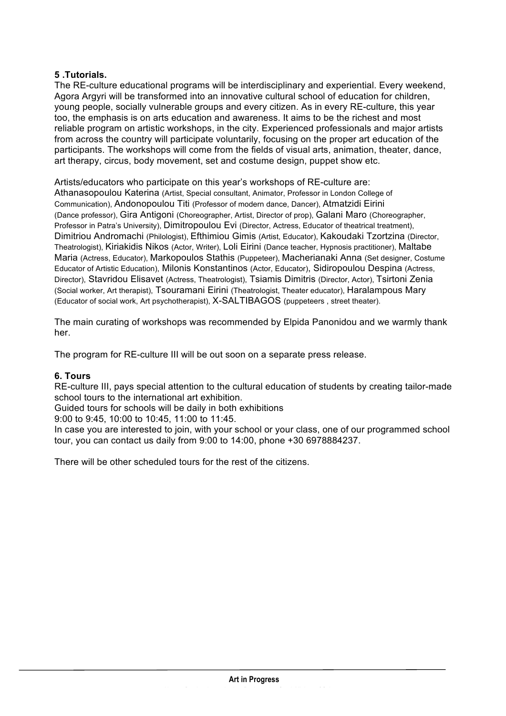# **5 .Tutorials.**

The RE-culture educational programs will be interdisciplinary and experiential. Every weekend, Agora Argyri will be transformed into an innovative cultural school of education for children, young people, socially vulnerable groups and every citizen. As in every RE-culture, this year too, the emphasis is on arts education and awareness. It aims to be the richest and most reliable program on artistic workshops, in the city. Experienced professionals and major artists from across the country will participate voluntarily, focusing on the proper art education of the participants. The workshops will come from the fields of visual arts, animation, theater, dance, art therapy, circus, body movement, set and costume design, puppet show etc.

Artists/educators who participate on this year's workshops of RE-culture are: Athanasopoulou Katerina (Artist, Special consultant, Animator, Professor in London College of Communication), Andonopoulou Titi (Professor of modern dance, Dancer), Atmatzidi Eirini (Dance professor), Gira Antigoni (Choreographer, Artist, Director of prop), Galani Maro (Choreographer, Professor in Patra's University), Dimitropoulou Evi (Director, Actress, Educator of theatrical treatment), Dimitriou Andromachi (Philologist), Efthimiou Gimis (Artist, Educator), Kakoudaki Tzortzina (Director, Theatrologist), Kiriakidis Nikos (Actor, Writer), Loli Eirini (Dance teacher, Hypnosis practitioner), Maltabe Maria (Actress, Educator), Markopoulos Stathis (Puppeteer), Macherianaki Anna (Set designer, Costume Educator of Artistic Education), Milonis Konstantinos (Actor, Educator), Sidiropoulou Despina (Actress, Director), Stavridou Elisavet (Actress, Theatrologist), Tsiamis Dimitris (Director, Actor), Tsirtoni Zenia (Social worker, Art therapist), Tsouramani Eirini (Theatrologist, Theater educator), Haralampous Mary (Educator of social work, Art psychotherapist), X-SALTIBAGOS (puppeteers , street theater).

The main curating of workshops was recommended by Elpida Panonidou and we warmly thank her.

The program for RE-culture III will be out soon on a separate press release.

### **6. Tours**

RE-culture III, pays special attention to the cultural education of students by creating tailor-made school tours to the international art exhibition.

Guided tours for schools will be daily in both exhibitions

9:00 to 9:45, 10:00 to 10:45, 11:00 to 11:45.

In case you are interested to join, with your school or your class, one of our programmed school tour, you can contact us daily from 9:00 to 14:00, phone +30 6978884237.

There will be other scheduled tours for the rest of the citizens.